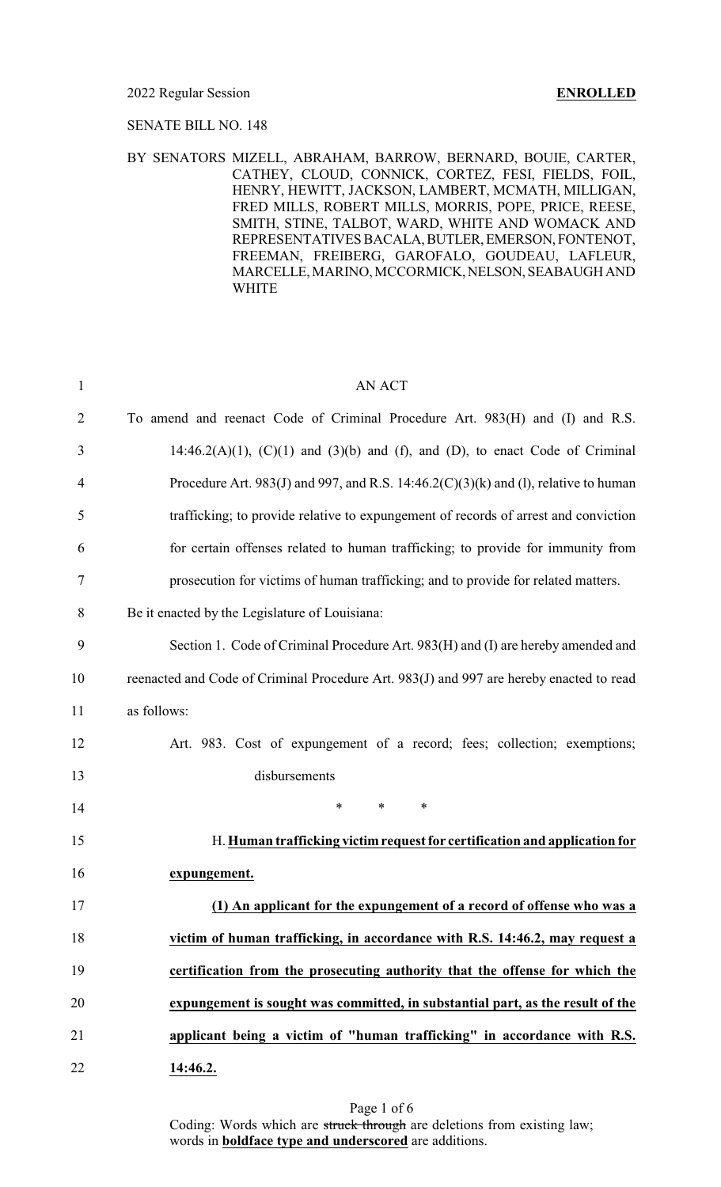### 2022 Regular Session **ENROLLED**

### SENATE BILL NO. 148

## BY SENATORS MIZELL, ABRAHAM, BARROW, BERNARD, BOUIE, CARTER, CATHEY, CLOUD, CONNICK, CORTEZ, FESI, FIELDS, FOIL, HENRY, HEWITT, JACKSON, LAMBERT, MCMATH, MILLIGAN, FRED MILLS, ROBERT MILLS, MORRIS, POPE, PRICE, REESE, SMITH, STINE, TALBOT, WARD, WHITE AND WOMACK AND REPRESENTATIVES BACALA,BUTLER,EMERSON, FONTENOT, FREEMAN, FREIBERG, GAROFALO, GOUDEAU, LAFLEUR, MARCELLE, MARINO, MCCORMICK, NELSON, SEABAUGH AND WHITE

| $\mathbf{1}$   | <b>AN ACT</b>                                                                             |
|----------------|-------------------------------------------------------------------------------------------|
| $\overline{2}$ | To amend and reenact Code of Criminal Procedure Art. 983(H) and (I) and R.S.              |
| 3              | $14:46.2(A)(1)$ , $(C)(1)$ and $(3)(b)$ and $(f)$ , and $(D)$ , to enact Code of Criminal |
| $\overline{4}$ | Procedure Art. 983(J) and 997, and R.S. 14:46.2(C)(3)(k) and (1), relative to human       |
| 5              | trafficking; to provide relative to expungement of records of arrest and conviction       |
| 6              | for certain offenses related to human trafficking; to provide for immunity from           |
| 7              | prosecution for victims of human trafficking; and to provide for related matters.         |
| 8              | Be it enacted by the Legislature of Louisiana:                                            |
| 9              | Section 1. Code of Criminal Procedure Art. 983(H) and (I) are hereby amended and          |
| 10             | reenacted and Code of Criminal Procedure Art. 983(J) and 997 are hereby enacted to read   |
| 11             | as follows:                                                                               |
| 12             | Art. 983. Cost of expungement of a record; fees; collection; exemptions;                  |
| 13             | disbursements                                                                             |
| 14             | $\ast$<br>∗<br>$\ast$                                                                     |
| 15             | H. Human trafficking victim request for certification and application for                 |
| 16             | expungement.                                                                              |
| 17             | (1) An applicant for the expungement of a record of offense who was a                     |
| 18             | victim of human trafficking, in accordance with R.S. 14:46.2, may request a               |
| 19             | certification from the prosecuting authority that the offense for which the               |
| 20             | expungement is sought was committed, in substantial part, as the result of the            |
| 21             | applicant being a victim of "human trafficking" in accordance with R.S.                   |
| 22             | 14:46.2.                                                                                  |

Coding: Words which are struck through are deletions from existing law; words in **boldface type and underscored** are additions.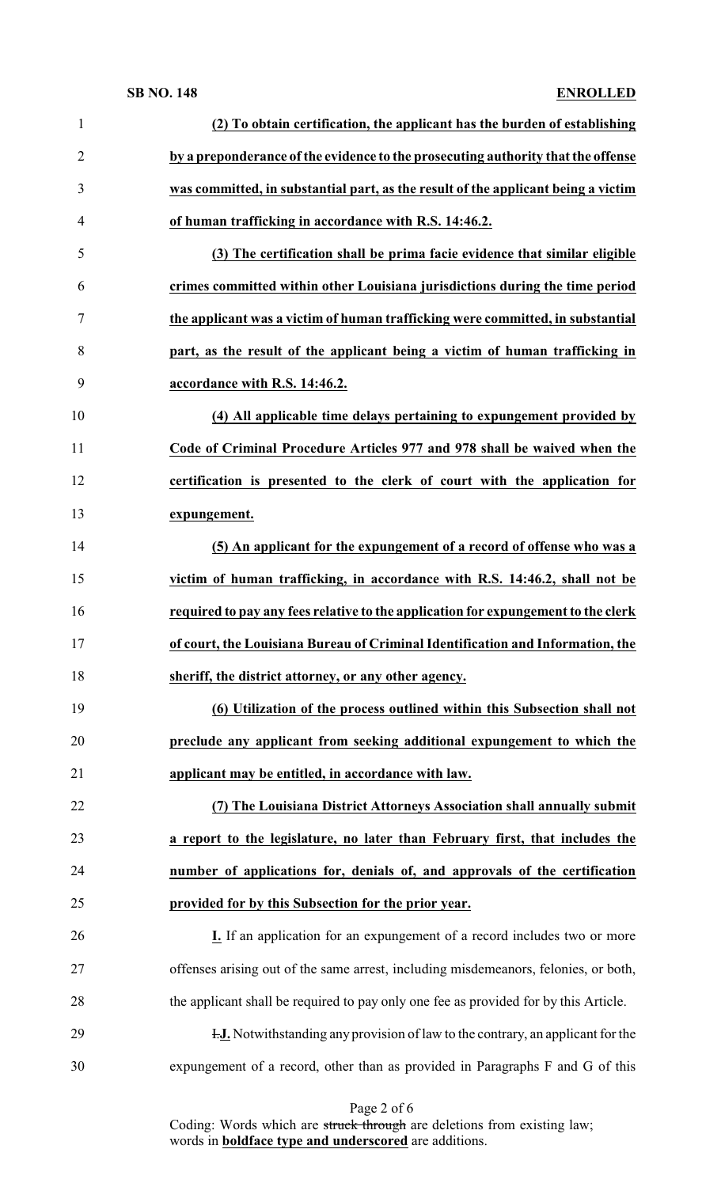## **SB NO. 148 ENROLLED**

| $\mathbf{1}$   | (2) To obtain certification, the applicant has the burden of establishing              |
|----------------|----------------------------------------------------------------------------------------|
| $\overline{2}$ | by a preponderance of the evidence to the prosecuting authority that the offense       |
| 3              | was committed, in substantial part, as the result of the applicant being a victim      |
| 4              | of human trafficking in accordance with R.S. 14:46.2.                                  |
| 5              | (3) The certification shall be prima facie evidence that similar eligible              |
| 6              | crimes committed within other Louisiana jurisdictions during the time period           |
| 7              | the applicant was a victim of human trafficking were committed, in substantial         |
| 8              | part, as the result of the applicant being a victim of human trafficking in            |
| 9              | accordance with R.S. 14:46.2.                                                          |
| 10             | (4) All applicable time delays pertaining to expungement provided by                   |
| 11             | Code of Criminal Procedure Articles 977 and 978 shall be waived when the               |
| 12             | certification is presented to the clerk of court with the application for              |
| 13             | expungement.                                                                           |
| 14             | (5) An applicant for the expungement of a record of offense who was a                  |
| 15             | victim of human trafficking, in accordance with R.S. 14:46.2, shall not be             |
| 16             | required to pay any fees relative to the application for expungement to the clerk      |
| 17             | of court, the Louisiana Bureau of Criminal Identification and Information, the         |
| 18             | sheriff, the district attorney, or any other agency.                                   |
| 19             | (6) Utilization of the process outlined within this Subsection shall not               |
| 20             | preclude any applicant from seeking additional expungement to which the                |
| 21             | applicant may be entitled, in accordance with law.                                     |
| 22             | (7) The Louisiana District Attorneys Association shall annually submit                 |
| 23             | a report to the legislature, no later than February first, that includes the           |
| 24             | number of applications for, denials of, and approvals of the certification             |
| 25             | provided for by this Subsection for the prior year.                                    |
| 26             | <b>I.</b> If an application for an expungement of a record includes two or more        |
| 27             | offenses arising out of the same arrest, including misdemeanors, felonies, or both,    |
| 28             | the applicant shall be required to pay only one fee as provided for by this Article.   |
| 29             | <b>I.J.</b> Notwithstanding any provision of law to the contrary, an applicant for the |
| 30             | expungement of a record, other than as provided in Paragraphs F and G of this          |
|                |                                                                                        |

Page 2 of 6

Coding: Words which are struck through are deletions from existing law; words in **boldface type and underscored** are additions.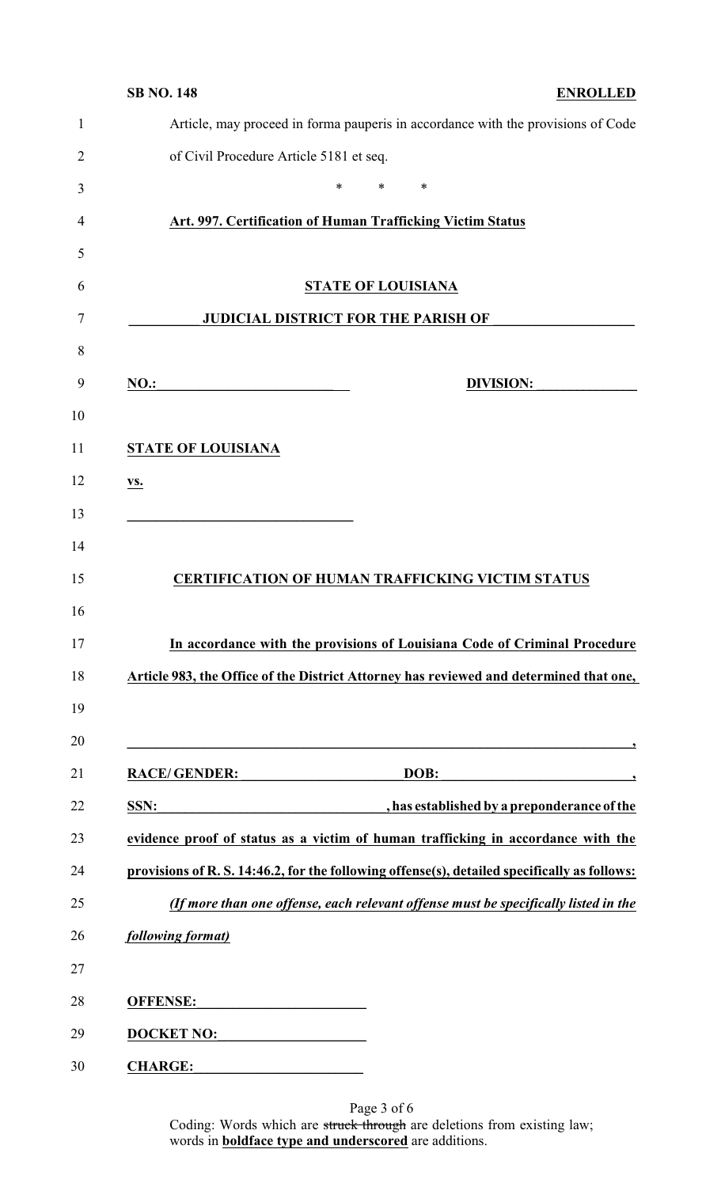| <b>SB NO. 148</b> |                                                            |                                                                                                                       |                           |        |                  | <b>ENROLLED</b>                                                                                                                                                     |
|-------------------|------------------------------------------------------------|-----------------------------------------------------------------------------------------------------------------------|---------------------------|--------|------------------|---------------------------------------------------------------------------------------------------------------------------------------------------------------------|
|                   |                                                            |                                                                                                                       |                           |        |                  | Article, may proceed in forma pauperis in accordance with the provisions of Code                                                                                    |
|                   | of Civil Procedure Article 5181 et seq.                    |                                                                                                                       |                           |        |                  |                                                                                                                                                                     |
|                   |                                                            | *                                                                                                                     | $\ast$                    | $\ast$ |                  |                                                                                                                                                                     |
|                   | Art. 997. Certification of Human Trafficking Victim Status |                                                                                                                       |                           |        |                  |                                                                                                                                                                     |
|                   |                                                            |                                                                                                                       |                           |        |                  |                                                                                                                                                                     |
|                   |                                                            |                                                                                                                       | <b>STATE OF LOUISIANA</b> |        |                  |                                                                                                                                                                     |
|                   |                                                            | <b>JUDICIAL DISTRICT FOR THE PARISH OF</b>                                                                            |                           |        |                  |                                                                                                                                                                     |
| <b>NO.:</b>       |                                                            |                                                                                                                       |                           |        | <b>DIVISION:</b> |                                                                                                                                                                     |
|                   | <b>STATE OF LOUISIANA</b>                                  |                                                                                                                       |                           |        |                  |                                                                                                                                                                     |
| VS.               |                                                            |                                                                                                                       |                           |        |                  |                                                                                                                                                                     |
|                   |                                                            |                                                                                                                       |                           |        |                  |                                                                                                                                                                     |
|                   | <b>CERTIFICATION OF HUMAN TRAFFICKING VICTIM STATUS</b>    |                                                                                                                       |                           |        |                  |                                                                                                                                                                     |
|                   |                                                            |                                                                                                                       |                           |        |                  | In accordance with the provisions of Louisiana Code of Criminal Procedure<br>Article 983, the Office of the District Attorney has reviewed and determined that one, |
| SSN:              | <b>RACE/GENDER:</b>                                        |                                                                                                                       |                           | DOB:   |                  | $\overline{\phantom{a}}$                                                                                                                                            |
|                   |                                                            |                                                                                                                       |                           |        |                  | has established by a preponderance of the<br>evidence proof of status as a victim of human trafficking in accordance with the                                       |
|                   |                                                            |                                                                                                                       |                           |        |                  | provisions of R. S. 14:46.2, for the following offense(s), detailed specifically as follows:                                                                        |
|                   |                                                            |                                                                                                                       |                           |        |                  | (If more than one offense, each relevant offense must be specifically listed in the                                                                                 |
|                   | following format)                                          |                                                                                                                       |                           |        |                  |                                                                                                                                                                     |
| <b>OFFENSE:</b>   |                                                            | <u> 1950 - Johann John Stein, market fan it ferskeart fan it ferskeart fan it ferskeart fan it ferskeart fan it f</u> |                           |        |                  |                                                                                                                                                                     |
|                   | <b>DOCKET NO:</b>                                          |                                                                                                                       |                           |        |                  |                                                                                                                                                                     |

Page 3 of 6 Coding: Words which are struck through are deletions from existing law; words in **boldface type and underscored** are additions.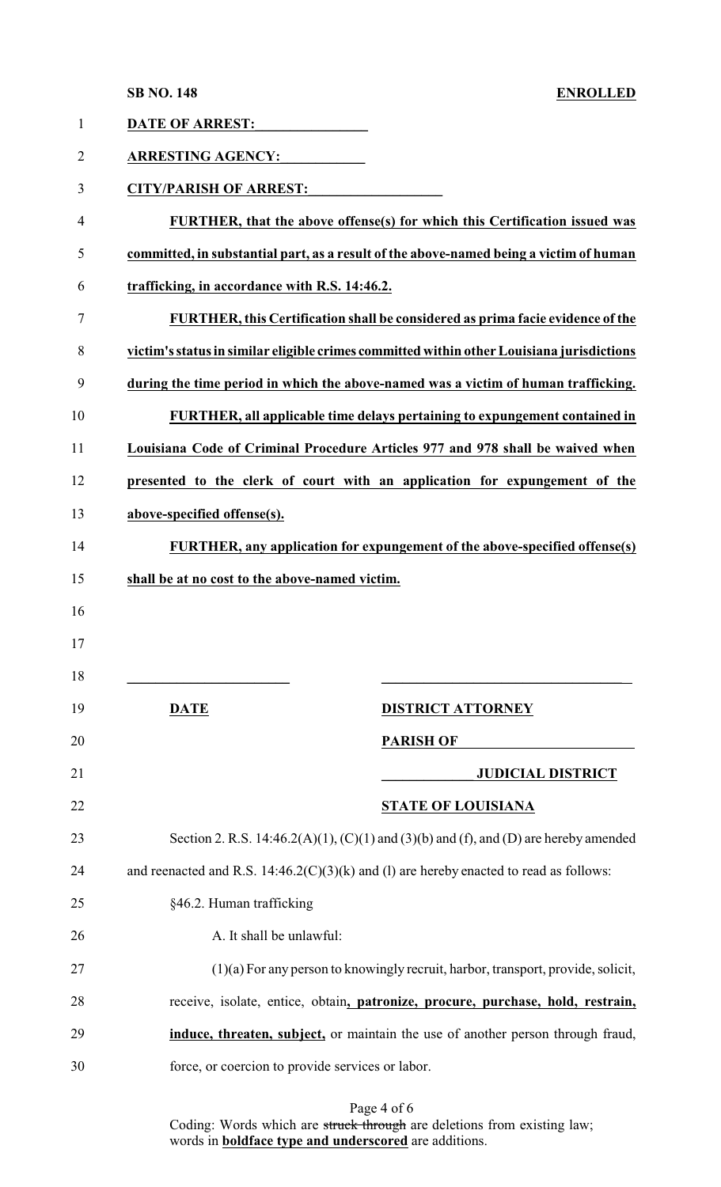**SB NO. 148 ENROLLED**

| $\mathbf{1}$   | <b>DATE OF ARREST:</b>                           |                                                                                                  |
|----------------|--------------------------------------------------|--------------------------------------------------------------------------------------------------|
| $\overline{2}$ | <b>ARRESTING AGENCY:</b>                         |                                                                                                  |
| 3              | <b>CITY/PARISH OF ARREST:</b>                    |                                                                                                  |
| 4              |                                                  | FURTHER, that the above offense(s) for which this Certification issued was                       |
| 5              |                                                  | committed, in substantial part, as a result of the above-named being a victim of human           |
| 6              | trafficking, in accordance with R.S. 14:46.2.    |                                                                                                  |
| 7              |                                                  | FURTHER, this Certification shall be considered as prima facie evidence of the                   |
| 8              |                                                  | victim's status in similar eligible crimes committed within other Louisiana jurisdictions        |
| 9              |                                                  | during the time period in which the above-named was a victim of human trafficking.               |
| 10             |                                                  | FURTHER, all applicable time delays pertaining to expungement contained in                       |
| 11             |                                                  | Louisiana Code of Criminal Procedure Articles 977 and 978 shall be waived when                   |
| 12             |                                                  | presented to the clerk of court with an application for expungement of the                       |
| 13             | above-specified offense(s).                      |                                                                                                  |
| 14             |                                                  | FURTHER, any application for expungement of the above-specified offense(s)                       |
| 15             | shall be at no cost to the above-named victim.   |                                                                                                  |
| 16             |                                                  |                                                                                                  |
| 17             |                                                  |                                                                                                  |
| 18             |                                                  |                                                                                                  |
| 19             | <b>DATE</b>                                      | <b>DISTRICT ATTORNEY</b>                                                                         |
| 20             |                                                  | <b>PARISH OF</b>                                                                                 |
| 21             |                                                  | <b>JUDICIAL DISTRICT</b>                                                                         |
| 22             |                                                  | <b>STATE OF LOUISIANA</b>                                                                        |
| 23             |                                                  | Section 2. R.S. $14:46.2(A)(1)$ , $(C)(1)$ and $(3)(b)$ and $(f)$ , and $(D)$ are hereby amended |
| 24             |                                                  | and reenacted and R.S. $14:46.2(C)(3)(k)$ and (1) are hereby enacted to read as follows:         |
| 25             | §46.2. Human trafficking                         |                                                                                                  |
| 26             | A. It shall be unlawful:                         |                                                                                                  |
| 27             |                                                  | $(1)(a)$ For any person to knowingly recruit, harbor, transport, provide, solicit,               |
| 28             |                                                  | receive, isolate, entice, obtain, patronize, procure, purchase, hold, restrain,                  |
| 29             |                                                  |                                                                                                  |
|                |                                                  | induce, threaten, subject, or maintain the use of another person through fraud,                  |
| 30             | force, or coercion to provide services or labor. |                                                                                                  |

Coding: Words which are struck through are deletions from existing law; words in **boldface type and underscored** are additions.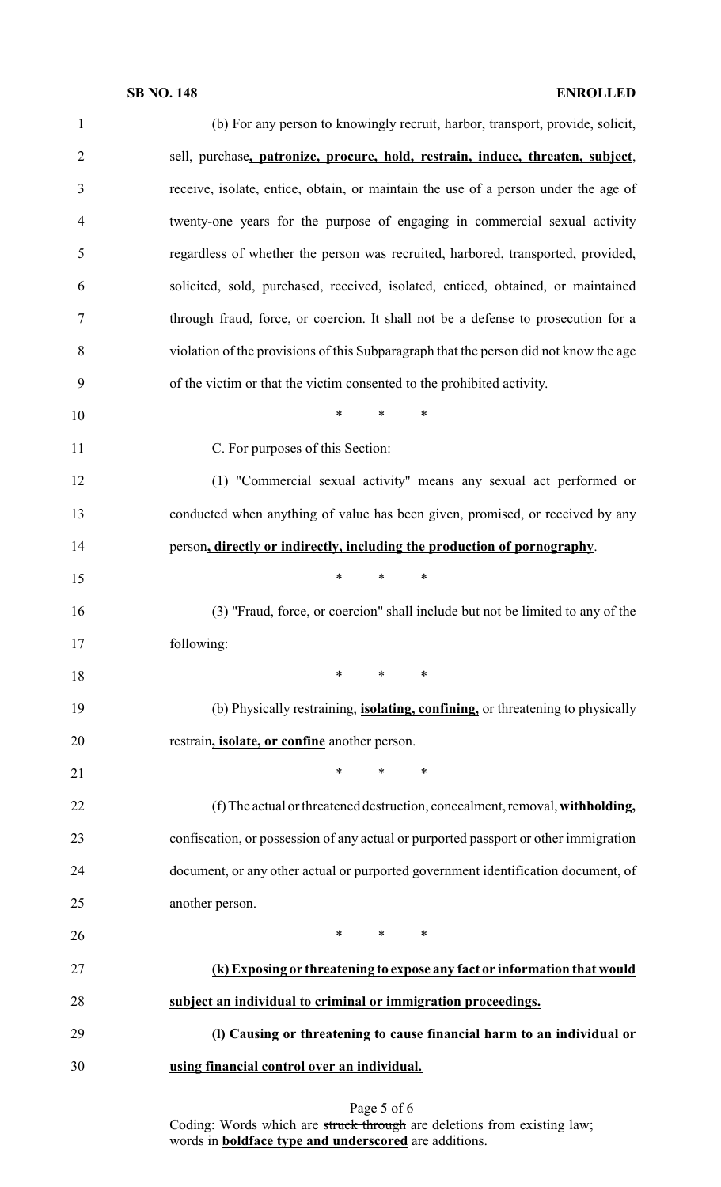## **SB NO. 148 ENROLLED**

| $\mathbf{1}$   | (b) For any person to knowingly recruit, harbor, transport, provide, solicit,                         |
|----------------|-------------------------------------------------------------------------------------------------------|
| $\overline{2}$ | sell, purchase, patronize, procure, hold, restrain, induce, threaten, subject,                        |
| 3              | receive, isolate, entice, obtain, or maintain the use of a person under the age of                    |
| $\overline{4}$ | twenty-one years for the purpose of engaging in commercial sexual activity                            |
| 5              | regardless of whether the person was recruited, harbored, transported, provided,                      |
| 6              | solicited, sold, purchased, received, isolated, enticed, obtained, or maintained                      |
| 7              | through fraud, force, or coercion. It shall not be a defense to prosecution for a                     |
| 8              | violation of the provisions of this Subparagraph that the person did not know the age                 |
| 9              | of the victim or that the victim consented to the prohibited activity.                                |
| 10             | *<br>*<br>∗                                                                                           |
| 11             | C. For purposes of this Section:                                                                      |
| 12             | (1) "Commercial sexual activity" means any sexual act performed or                                    |
| 13             | conducted when anything of value has been given, promised, or received by any                         |
| 14             | person, directly or indirectly, including the production of pornography.                              |
| 15             | $\ast$<br>$\ast$<br>∗                                                                                 |
| 16             | (3) "Fraud, force, or coercion" shall include but not be limited to any of the                        |
| 17             | following:                                                                                            |
| 18             | ∗<br>$\ast$<br>∗                                                                                      |
| 19             | (b) Physically restraining, <i>isolating</i> , <i>confining</i> , <i>or threatening to physically</i> |
| 20             | restrain, <i>isolate</i> , or <i>confine</i> another person.                                          |
| 21             | $\ast$<br>$*$ and $*$<br>∗                                                                            |
| 22             | (f) The actual or threatened destruction, concealment, removal, withholding,                          |
| 23             | confiscation, or possession of any actual or purported passport or other immigration                  |
| 24             | document, or any other actual or purported government identification document, of                     |
| 25             | another person.                                                                                       |
| 26             | $*$ *<br>$\ast$                                                                                       |
| 27             | (k) Exposing or threatening to expose any fact or information that would                              |
| 28             | subject an individual to criminal or immigration proceedings.                                         |
| 29             | (I) Causing or threatening to cause financial harm to an individual or                                |
| 30             | using financial control over an individual.                                                           |
|                |                                                                                                       |

Page 5 of 6 Coding: Words which are struck through are deletions from existing law; words in **boldface type and underscored** are additions.